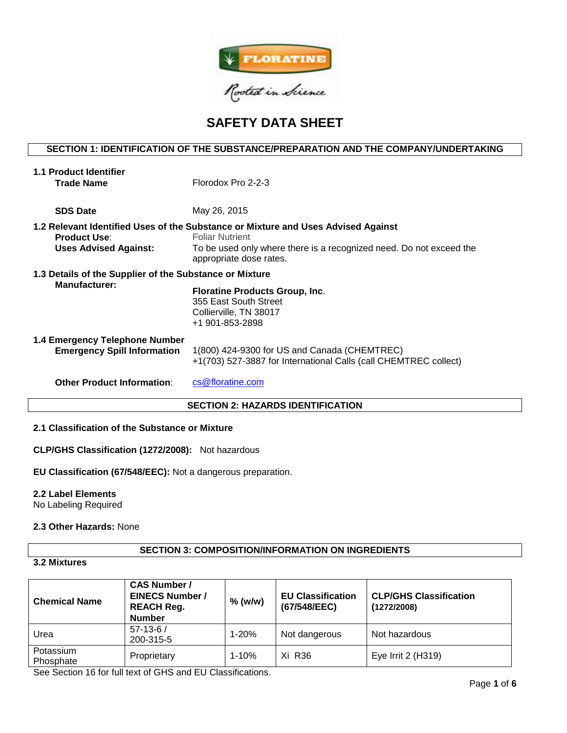

# **SAFETY DATA SHEET**

# **SECTION 1: IDENTIFICATION OF THE SUBSTANCE/PREPARATION AND THE COMPANY/UNDERTAKING**

| 1.1 Product Identifier                                  |                                                                                                |  |  |  |  |  |
|---------------------------------------------------------|------------------------------------------------------------------------------------------------|--|--|--|--|--|
| <b>Trade Name</b>                                       | Florodox Pro 2-2-3                                                                             |  |  |  |  |  |
|                                                         |                                                                                                |  |  |  |  |  |
| <b>SDS Date</b>                                         | May 26, 2015                                                                                   |  |  |  |  |  |
|                                                         | 1.2 Relevant Identified Uses of the Substance or Mixture and Uses Advised Against              |  |  |  |  |  |
| <b>Product Use:</b>                                     | <b>Foliar Nutrient</b>                                                                         |  |  |  |  |  |
| <b>Uses Advised Against:</b>                            | To be used only where there is a recognized need. Do not exceed the<br>appropriate dose rates. |  |  |  |  |  |
| 1.3 Details of the Supplier of the Substance or Mixture |                                                                                                |  |  |  |  |  |
| <b>Manufacturer:</b>                                    | <b>Floratine Products Group, Inc.</b>                                                          |  |  |  |  |  |
|                                                         |                                                                                                |  |  |  |  |  |
|                                                         | 355 East South Street                                                                          |  |  |  |  |  |
|                                                         | Collierville, TN 38017                                                                         |  |  |  |  |  |
|                                                         | +1 901-853-2898                                                                                |  |  |  |  |  |
| 1.4 Emergency Telephone Number                          |                                                                                                |  |  |  |  |  |
| <b>Emergency Spill Information</b>                      | 1(800) 424-9300 for US and Canada (CHEMTREC)                                                   |  |  |  |  |  |
|                                                         | +1(703) 527-3887 for International Calls (call CHEMTREC collect)                               |  |  |  |  |  |
|                                                         |                                                                                                |  |  |  |  |  |
| <b>Other Product Information:</b>                       | cs@floratine.com                                                                               |  |  |  |  |  |
|                                                         |                                                                                                |  |  |  |  |  |
| <b>SECTION 2: HAZARDS IDENTIFICATION</b>                |                                                                                                |  |  |  |  |  |

# **2.1 Classification of the Substance or Mixture**

**CLP/GHS Classification (1272/2008):** Not hazardous

**EU Classification (67/548/EEC):** Not a dangerous preparation.

# **2.2 Label Elements**

No Labeling Required

# **2.3 Other Hazards:** None

# **SECTION 3: COMPOSITION/INFORMATION ON INGREDIENTS**

# **3.2 Mixtures**

| <b>Chemical Name</b>   | <b>CAS Number /</b><br><b>EINECS Number /</b><br><b>REACH Reg.</b><br><b>Number</b> | $%$ (w/w) | <b>EU Classification</b><br>(67/548/EEC) | <b>CLP/GHS Classification</b><br>(1272/2008) |
|------------------------|-------------------------------------------------------------------------------------|-----------|------------------------------------------|----------------------------------------------|
| Urea                   | $57-13-6/$<br>200-315-5                                                             | $1 - 20%$ | Not dangerous                            | Not hazardous                                |
| Potassium<br>Phosphate | Proprietary                                                                         | $1 - 10%$ | Xi R36                                   | Eye Irrit 2 (H319)                           |

See Section 16 for full text of GHS and EU Classifications.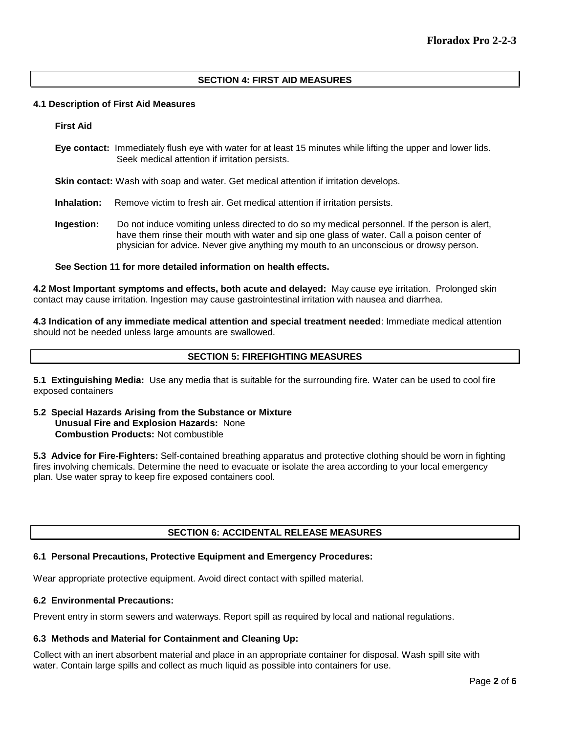# **SECTION 4: FIRST AID MEASURES**

#### **4.1 Description of First Aid Measures**

**First Aid**

**Eye contact:** Immediately flush eye with water for at least 15 minutes while lifting the upper and lower lids. Seek medical attention if irritation persists.

**Skin contact:** Wash with soap and water. Get medical attention if irritation develops.

- **Inhalation:** Remove victim to fresh air. Get medical attention if irritation persists.
- **Ingestion:** Do not induce vomiting unless directed to do so my medical personnel. If the person is alert, have them rinse their mouth with water and sip one glass of water. Call a poison center of physician for advice. Never give anything my mouth to an unconscious or drowsy person.

# **See Section 11 for more detailed information on health effects.**

**4.2 Most Important symptoms and effects, both acute and delayed:** May cause eye irritation. Prolonged skin contact may cause irritation. Ingestion may cause gastrointestinal irritation with nausea and diarrhea.

**4.3 Indication of any immediate medical attention and special treatment needed**: Immediate medical attention should not be needed unless large amounts are swallowed.

# **SECTION 5: FIREFIGHTING MEASURES**

**5.1 Extinguishing Media:** Use any media that is suitable for the surrounding fire. Water can be used to cool fire exposed containers

**5.2 Special Hazards Arising from the Substance or Mixture Unusual Fire and Explosion Hazards:** None **Combustion Products:** Not combustible

**5.3 Advice for Fire-Fighters:** Self-contained breathing apparatus and protective clothing should be worn in fighting fires involving chemicals. Determine the need to evacuate or isolate the area according to your local emergency plan. Use water spray to keep fire exposed containers cool.

# **SECTION 6: ACCIDENTAL RELEASE MEASURES**

#### **6.1 Personal Precautions, Protective Equipment and Emergency Procedures:**

Wear appropriate protective equipment. Avoid direct contact with spilled material.

#### **6.2 Environmental Precautions:**

Prevent entry in storm sewers and waterways. Report spill as required by local and national regulations.

# **6.3 Methods and Material for Containment and Cleaning Up:**

Collect with an inert absorbent material and place in an appropriate container for disposal. Wash spill site with water. Contain large spills and collect as much liquid as possible into containers for use.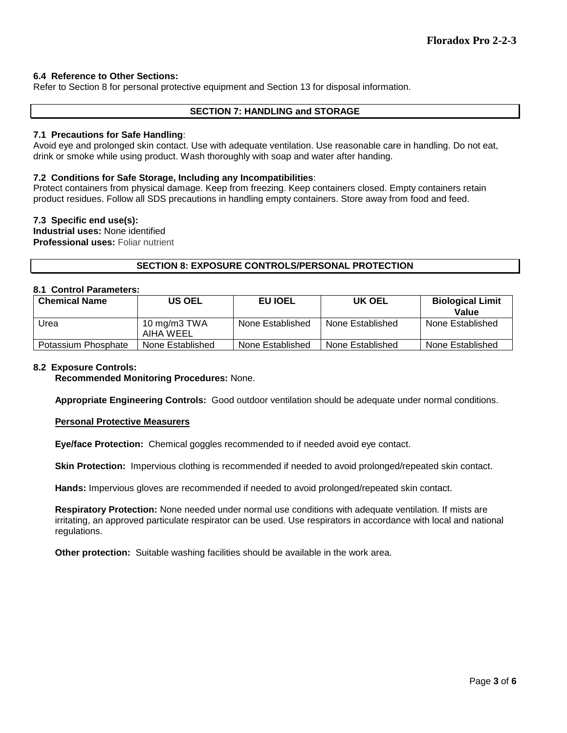# **6.4 Reference to Other Sections:**

Refer to Section 8 for personal protective equipment and Section 13 for disposal information.

## **SECTION 7: HANDLING and STORAGE**

## **7.1 Precautions for Safe Handling**:

Avoid eye and prolonged skin contact. Use with adequate ventilation. Use reasonable care in handling. Do not eat, drink or smoke while using product. Wash thoroughly with soap and water after handing.

#### **7.2 Conditions for Safe Storage, Including any Incompatibilities**:

Protect containers from physical damage. Keep from freezing. Keep containers closed. Empty containers retain product residues. Follow all SDS precautions in handling empty containers. Store away from food and feed.

#### **7.3 Specific end use(s):**

**Industrial uses:** None identified **Professional uses:** Foliar nutrient

# **SECTION 8: EXPOSURE CONTROLS/PERSONAL PROTECTION**

# **8.1 Control Parameters:**

| <b>Chemical Name</b> | <b>US OEL</b>                | EU IOEL          | UK OEL           | <b>Biological Limit</b><br>Value |
|----------------------|------------------------------|------------------|------------------|----------------------------------|
| Urea                 | 10 mg/m $3$ TWA<br>AIHA WEEL | None Established | None Established | None Established                 |
| Potassium Phosphate  | None Established             | None Established | None Established | None Established                 |

#### **8.2 Exposure Controls:**

**Recommended Monitoring Procedures:** None.

**Appropriate Engineering Controls:** Good outdoor ventilation should be adequate under normal conditions.

## **Personal Protective Measurers**

**Eye/face Protection:** Chemical goggles recommended to if needed avoid eye contact.

**Skin Protection:** Impervious clothing is recommended if needed to avoid prolonged/repeated skin contact.

**Hands:** Impervious gloves are recommended if needed to avoid prolonged/repeated skin contact.

**Respiratory Protection:** None needed under normal use conditions with adequate ventilation. If mists are irritating, an approved particulate respirator can be used. Use respirators in accordance with local and national regulations.

**Other protection:** Suitable washing facilities should be available in the work area.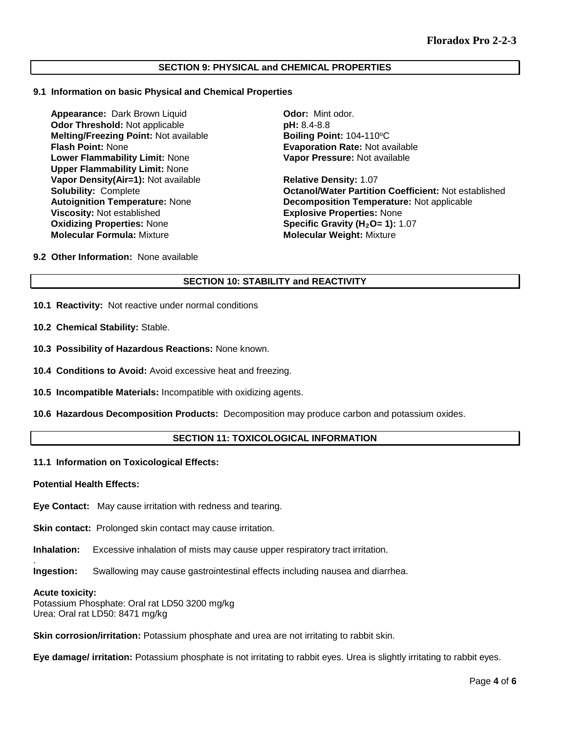# **SECTION 9: PHYSICAL and CHEMICAL PROPERTIES**

#### **9.1 Information on basic Physical and Chemical Properties**

**Appearance:** Dark Brown Liquid **Odor:** Mint odor.<br> **Odor Threshold:** Not applicable **Containery Containery DH:** 8.4-8.8 **Odor Threshold:** Not applicable **by the control point and pH:** 8.4-8.8<br> **Melting/Freezing Point:** Not available **by Boiling Point:** 104-110°C **Melting/Freezing Point: Not available Flash Point:** None **Evaporation Rate:** Not available **Lower Flammability Limit:** None **Upper Flammability Limit:** None **Vapor Density(Air=1):** Not available **Relative Density:** 1.07 **Viscosity:** Not established<br> **Oxidizing Properties:** None<br> **CXIDICAL Specific Gravity (H<sub>2</sub>O= 1):** 1 **Oxidizing Properties:** None **Specific Gravity (H<sub>2</sub>O= 1):** 1.07<br> **Molecular Formula:** Mixture **State of Molecular Weight:** Mixture

**Vapor Pressure:** Not available

**Solubility:** Complete **Octanol/Water Partition Coefficient:** Not established **Decomposition Temperature: Not applicable Molecular Weight: Mixture** 

#### **9.2 Other Information:** None available

#### **SECTION 10: STABILITY and REACTIVITY**

- **10.1 Reactivity:** Not reactive under normal conditions
- **10.2 Chemical Stability:** Stable.
- **10.3 Possibility of Hazardous Reactions:** None known.
- **10.4 Conditions to Avoid:** Avoid excessive heat and freezing.
- **10.5 Incompatible Materials:** Incompatible with oxidizing agents.
- **10.6 Hazardous Decomposition Products:** Decomposition may produce carbon and potassium oxides.

# **SECTION 11: TOXICOLOGICAL INFORMATION**

#### **11.1 Information on Toxicological Effects:**

#### **Potential Health Effects:**

**Eye Contact:** May cause irritation with redness and tearing.

**Skin contact:** Prolonged skin contact may cause irritation.

**Inhalation:** Excessive inhalation of mists may cause upper respiratory tract irritation.

**Ingestion:** Swallowing may cause gastrointestinal effects including nausea and diarrhea.

#### **Acute toxicity:**

.

Potassium Phosphate: Oral rat LD50 3200 mg/kg Urea: Oral rat LD50: 8471 mg/kg

**Skin corrosion/irritation:** Potassium phosphate and urea are not irritating to rabbit skin.

**Eye damage/ irritation:** Potassium phosphate is not irritating to rabbit eyes. Urea is slightly irritating to rabbit eyes.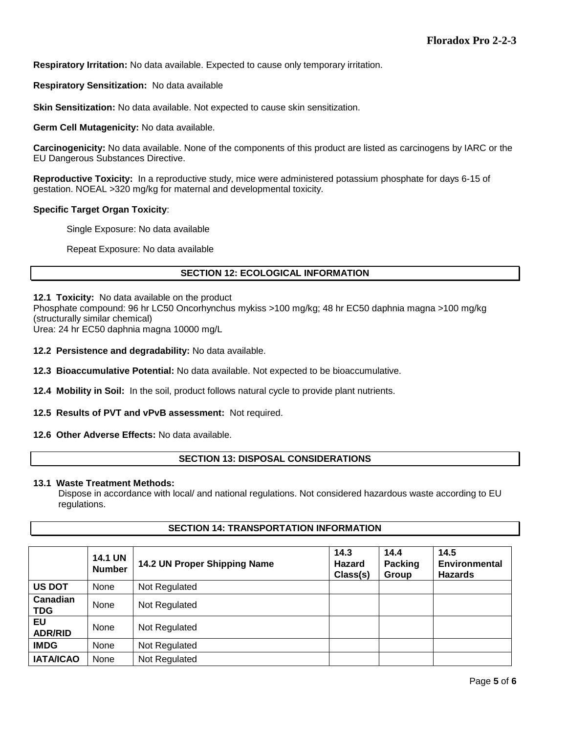**Respiratory Irritation:** No data available. Expected to cause only temporary irritation.

**Respiratory Sensitization:** No data available

**Skin Sensitization:** No data available. Not expected to cause skin sensitization.

**Germ Cell Mutagenicity:** No data available.

**Carcinogenicity:** No data available. None of the components of this product are listed as carcinogens by IARC or the EU Dangerous Substances Directive.

**Reproductive Toxicity:** In a reproductive study, mice were administered potassium phosphate for days 6-15 of gestation. NOEAL >320 mg/kg for maternal and developmental toxicity.

# **Specific Target Organ Toxicity**:

Single Exposure: No data available

Repeat Exposure: No data available

# **SECTION 12: ECOLOGICAL INFORMATION**

**12.1 Toxicity:** No data available on the product

Phosphate compound: 96 hr LC50 Oncorhynchus mykiss >100 mg/kg; 48 hr EC50 daphnia magna >100 mg/kg (structurally similar chemical)

Urea: 24 hr EC50 daphnia magna 10000 mg/L

**12.2 Persistence and degradability:** No data available.

**12.3 Bioaccumulative Potential:** No data available. Not expected to be bioaccumulative.

**12.4 Mobility in Soil:** In the soil, product follows natural cycle to provide plant nutrients.

**12.5 Results of PVT and vPvB assessment:** Not required.

**12.6 Other Adverse Effects:** No data available.

# **SECTION 13: DISPOSAL CONSIDERATIONS**

#### **13.1 Waste Treatment Methods:**

Dispose in accordance with local/ and national regulations. Not considered hazardous waste according to EU regulations.

## **SECTION 14: TRANSPORTATION INFORMATION**

|                        | <b>14.1 UN</b><br><b>Number</b> | 14.2 UN Proper Shipping Name | 14.3<br><b>Hazard</b><br>Class(s) | 14.4<br><b>Packing</b><br>Group | 14.5<br><b>Environmental</b><br><b>Hazards</b> |
|------------------------|---------------------------------|------------------------------|-----------------------------------|---------------------------------|------------------------------------------------|
| <b>US DOT</b>          | <b>None</b>                     | Not Regulated                |                                   |                                 |                                                |
| Canadian<br><b>TDG</b> | None                            | Not Regulated                |                                   |                                 |                                                |
| EU<br><b>ADR/RID</b>   | None                            | Not Regulated                |                                   |                                 |                                                |
| <b>IMDG</b>            | None                            | Not Regulated                |                                   |                                 |                                                |
| <b>IATA/ICAO</b>       | None                            | Not Regulated                |                                   |                                 |                                                |